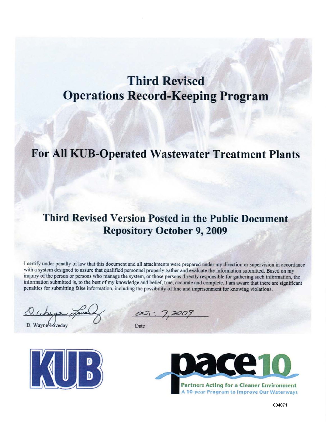# **Third Revised Operations Record-Keeping Program**

# For All KUB-Operated Wastewater Treatment Plants

## **Third Revised Version Posted in the Public Document Repository October 9, 2009**

I certify under penalty of law that this document and all attachments were prepared under my direction or supervision in accordance with a system designed to assure that qualified personnel properly gather and evaluate the information submitted. Based on my inquiry of the person or persons who manage the system, or those persons directly responsible for gathering such information, the information submitted is, to the best of my knowledge and belief, true, accurate and complete. I am aware that there are significant penalties for submitting false information, including the possibility of fine and imprisonment for knowing violations.

D. Wayne Loveday

 $7,200$ y

Date



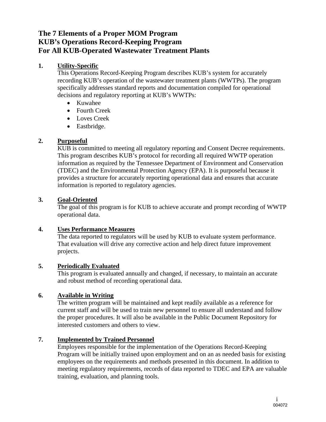## **The 7 Elements of a Proper MOM Program KUB's Operations Record-Keeping Program For All KUB-Operated Wastewater Treatment Plants**

#### **1. Utility-Specific**

This Operations Record-Keeping Program describes KUB's system for accurately recording KUB's operation of the wastewater treatment plants (WWTPs). The program specifically addresses standard reports and documentation compiled for operational decisions and regulatory reporting at KUB's WWTPs:

- Kuwahee
- Fourth Creek
- Loves Creek
- Eastbridge.

#### **2. Purposeful**

KUB is committed to meeting all regulatory reporting and Consent Decree requirements. This program describes KUB's protocol for recording all required WWTP operation information as required by the Tennessee Department of Environment and Conservation (TDEC) and the Environmental Protection Agency (EPA). It is purposeful because it provides a structure for accurately reporting operational data and ensures that accurate information is reported to regulatory agencies.

#### **3. Goal-Oriented**

The goal of this program is for KUB to achieve accurate and prompt recording of WWTP operational data.

#### **4. Uses Performance Measures**

The data reported to regulators will be used by KUB to evaluate system performance. That evaluation will drive any corrective action and help direct future improvement projects.

#### **5. Periodically Evaluated**

This program is evaluated annually and changed, if necessary, to maintain an accurate and robust method of recording operational data.

#### **6. Available in Writing**

The written program will be maintained and kept readily available as a reference for current staff and will be used to train new personnel to ensure all understand and follow the proper procedures. It will also be available in the Public Document Repository for interested customers and others to view.

#### **7. Implemented by Trained Personnel**

Employees responsible for the implementation of the Operations Record-Keeping Program will be initially trained upon employment and on an as needed basis for existing employees on the requirements and methods presented in this document. In addition to meeting regulatory requirements, records of data reported to TDEC and EPA are valuable training, evaluation, and planning tools.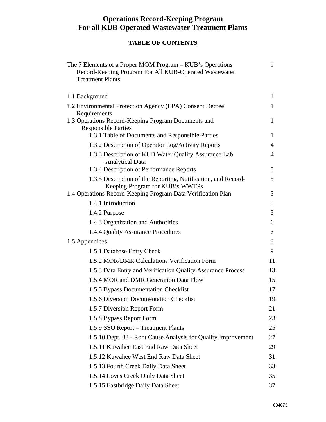## **Operations Record-Keeping Program For all KUB-Operated Wastewater Treatment Plants**

## **TABLE OF CONTENTS**

| The 7 Elements of a Proper MOM Program – KUB's Operations<br>Record-Keeping Program For All KUB-Operated Wastewater<br><b>Treatment Plants</b> | $\mathbf{i}$ |
|------------------------------------------------------------------------------------------------------------------------------------------------|--------------|
| 1.1 Background                                                                                                                                 | 1            |
| 1.2 Environmental Protection Agency (EPA) Consent Decree                                                                                       | 1            |
| Requirements                                                                                                                                   |              |
| 1.3 Operations Record-Keeping Program Documents and<br><b>Responsible Parties</b>                                                              | 1            |
| 1.3.1 Table of Documents and Responsible Parties                                                                                               | 1            |
| 1.3.2 Description of Operator Log/Activity Reports                                                                                             | 4            |
| 1.3.3 Description of KUB Water Quality Assurance Lab<br><b>Analytical Data</b>                                                                 | 4            |
| 1.3.4 Description of Performance Reports                                                                                                       | 5            |
| 1.3.5 Description of the Reporting, Notification, and Record-<br>Keeping Program for KUB's WWTPs                                               | 5            |
| 1.4 Operations Record-Keeping Program Data Verification Plan                                                                                   | 5            |
| 1.4.1 Introduction                                                                                                                             | 5            |
| 1.4.2 Purpose                                                                                                                                  | 5            |
| 1.4.3 Organization and Authorities                                                                                                             | 6            |
| 1.4.4 Quality Assurance Procedures                                                                                                             | 6            |
| 1.5 Appendices                                                                                                                                 | 8            |
| 1.5.1 Database Entry Check                                                                                                                     | 9            |
| 1.5.2 MOR/DMR Calculations Verification Form                                                                                                   | 11           |
| 1.5.3 Data Entry and Verification Quality Assurance Process                                                                                    | 13           |
| 1.5.4 MOR and DMR Generation Data Flow                                                                                                         | 15           |
| 1.5.5 Bypass Documentation Checklist                                                                                                           | 17           |
| 1.5.6 Diversion Documentation Checklist                                                                                                        | 19           |
| 1.5.7 Diversion Report Form                                                                                                                    | 21           |
| 1.5.8 Bypass Report Form                                                                                                                       | 23           |
| 1.5.9 SSO Report – Treatment Plants                                                                                                            | 25           |
| 1.5.10 Dept. 83 - Root Cause Analysis for Quality Improvement                                                                                  | 27           |
| 1.5.11 Kuwahee East End Raw Data Sheet                                                                                                         | 29           |
| 1.5.12 Kuwahee West End Raw Data Sheet                                                                                                         | 31           |
| 1.5.13 Fourth Creek Daily Data Sheet                                                                                                           | 33           |
| 1.5.14 Loves Creek Daily Data Sheet                                                                                                            | 35           |
| 1.5.15 Eastbridge Daily Data Sheet                                                                                                             | 37           |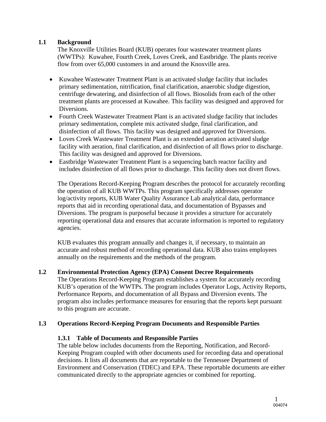#### **1.1 Background**

The Knoxville Utilities Board (KUB) operates four wastewater treatment plants (WWTPs): Kuwahee, Fourth Creek, Loves Creek, and Eastbridge. The plants receive flow from over 65,000 customers in and around the Knoxville area.

- Kuwahee Wastewater Treatment Plant is an activated sludge facility that includes primary sedimentation, nitrification, final clarification, anaerobic sludge digestion, centrifuge dewatering, and disinfection of all flows. Biosolids from each of the other treatment plants are processed at Kuwahee. This facility was designed and approved for Diversions.
- Fourth Creek Wastewater Treatment Plant is an activated sludge facility that includes primary sedimentation, complete mix activated sludge, final clarification, and disinfection of all flows. This facility was designed and approved for Diversions.
- Loves Creek Wastewater Treatment Plant is an extended aeration activated sludge facility with aeration, final clarification, and disinfection of all flows prior to discharge. This facility was designed and approved for Diversions.
- Eastbridge Wastewater Treatment Plant is a sequencing batch reactor facility and includes disinfection of all flows prior to discharge. This facility does not divert flows.

The Operations Record-Keeping Program describes the protocol for accurately recording the operation of all KUB WWTPs. This program specifically addresses operator log/activity reports, KUB Water Quality Assurance Lab analytical data, performance reports that aid in recording operational data, and documentation of Bypasses and Diversions. The program is purposeful because it provides a structure for accurately reporting operational data and ensures that accurate information is reported to regulatory agencies.

KUB evaluates this program annually and changes it, if necessary, to maintain an accurate and robust method of recording operational data. KUB also trains employees annually on the requirements and the methods of the program.

#### **1.2 Environmental Protection Agency (EPA) Consent Decree Requirements**

The Operations Record-Keeping Program establishes a system for accurately recording KUB's operation of the WWTPs. The program includes Operator Logs, Activity Reports, Performance Reports, and documentation of all Bypass and Diversion events. The program also includes performance measures for ensuring that the reports kept pursuant to this program are accurate.

#### **1.3 Operations Record-Keeping Program Documents and Responsible Parties**

#### **1.3.1 Table of Documents and Responsible Parties**

The table below includes documents from the Reporting, Notification, and Record-Keeping Program coupled with other documents used for recording data and operational decisions. It lists all documents that are reportable to the Tennessee Department of Environment and Conservation (TDEC) and EPA. These reportable documents are either communicated directly to the appropriate agencies or combined for reporting.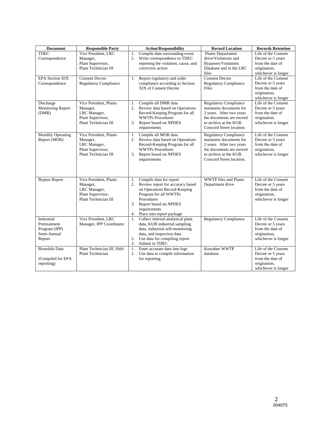| <b>Document</b>                                                      | <b>Responsible Party</b>                                                                        | <b>Action/Responsibility</b>                                                                                                                                                                                                     | <b>Record Location</b>                                                                                                                                              | <b>Records Retention</b>                                                                            |
|----------------------------------------------------------------------|-------------------------------------------------------------------------------------------------|----------------------------------------------------------------------------------------------------------------------------------------------------------------------------------------------------------------------------------|---------------------------------------------------------------------------------------------------------------------------------------------------------------------|-----------------------------------------------------------------------------------------------------|
| <b>TDEC</b><br>Correspondence                                        | Vice President, LRC<br>Manager,<br>Plant Supervisor,<br>Plant Technician III                    | Compile data surrounding event<br>1.<br>Write correspondence to TDEC<br>2.<br>reporting the violation, cause, and<br>corrective action                                                                                           | Plants Department<br>drive/Violations and<br>Bypasses/Violations<br>Database and in the LRC<br>files                                                                | Life of the Consent<br>Decree or 5 years<br>from the date of<br>origination,<br>whichever is longer |
| <b>EPA Section XIX</b><br>Correspondence                             | <b>Consent Decree</b><br><b>Regulatory Compliance</b>                                           | Report regulatory and order<br>1.<br>compliance according to Section<br>XIX of Consent Decree                                                                                                                                    | <b>Consent Decree</b><br><b>Regulatory Compliance</b><br>Files                                                                                                      | Life of the Consent<br>Decree or 5 years<br>from the date of<br>origination,<br>whichever is longer |
| Discharge<br><b>Monitoring Report</b><br>(DMR)                       | Vice President, Plants<br>Manager,<br>LRC Manager,<br>Plant Supervisor,<br>Plant Technician III | Compile all DMR data<br>1.<br>Review data based on Operations<br>2.<br>Record-Keeping Program for all<br><b>WWTPs Procedures</b><br>Report based on NPDES<br>3.<br>requirements                                                  | <b>Regulatory Compliance</b><br>maintains documents for<br>2 years. After two years<br>the documents are moved<br>to archive at the KUB<br>Concord Street location. | Life of the Consent<br>Decree or 5 years<br>from the date of<br>origination,<br>whichever is longer |
| Monthly Operating<br>Report (MOR)                                    | Vice President, Plants<br>Manager,<br>LRC Manager,<br>Plant Supervisor,<br>Plant Technician III | Compile all MOR data<br>1.<br>Review data based on Operations<br>2.<br>Record-Keeping Program for all<br><b>WWTPs Procedures</b><br>Report based on NPDES<br>3.<br>requirements                                                  | <b>Regulatory Compliance</b><br>maintains documents for<br>2 years. After two years<br>the documents are moved<br>to archive at the KUB<br>Concord Street location. | Life of the Consent<br>Decree or 5 years<br>from the date of<br>origination,<br>whichever is longer |
| <b>Bypass Report</b>                                                 | Vice President, Plants<br>Manager,<br>LRC Manager,<br>Plant Supervisor,<br>Plant Technician III | Compile data for report<br>1.<br>Review report for accuracy based<br>2.<br>on Operations Record-Keeping<br>Program for all WWTPs<br>Procedures<br>Report based on NPDES<br>3.<br>requirements<br>Place into report package<br>4. | <b>WWTP</b> files and Plants<br>Department drive                                                                                                                    | Life of the Consent<br>Decree or 5 years<br>from the date of<br>origination,<br>whichever is longer |
| Industrial<br>Pretreatment<br>Program (IPP)<br>Semi-Annual<br>Report | Vice President, LRC<br>Manager, IPP Coordinator                                                 | Collect internal analytical plant<br>1.<br>data, KUB industrial sampling<br>data, industrial self-monitoring<br>data, and inspection data.<br>Use data for compiling report<br>2.<br>3.<br>Submit to TDEC                        | <b>Regulatory Compliance</b>                                                                                                                                        | Life of the Consent<br>Decree or 5 years<br>from the date of<br>origination,<br>whichever is longer |
| <b>Biosolids</b> Data<br>(Compiled for EPA<br>reporting)             | Plant Technician III. Shift<br>Plant Technician                                                 | Enter accurate data into logs<br>1.<br>Use data to compile information<br>2.<br>for reporting                                                                                                                                    | Kuwahee WWTP<br>database                                                                                                                                            | Life of the Consent<br>Decree or 5 years<br>from the date of<br>origination,<br>whichever is longer |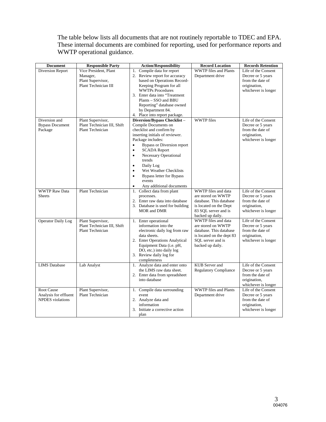The table below lists all documents that are not routinely reportable to TDEC and EPA. These internal documents are combined for reporting, used for performance reports and WWTP operational guidance.

| <b>Document</b>                                                       | <b>Responsible Party</b>                                                       | <b>Action/Responsibility</b>                                                                                                                                                                                                                                                                                                                                                                                                               | <b>Record Location</b>                                                                                                                     | <b>Records Retention</b>                                                                            |
|-----------------------------------------------------------------------|--------------------------------------------------------------------------------|--------------------------------------------------------------------------------------------------------------------------------------------------------------------------------------------------------------------------------------------------------------------------------------------------------------------------------------------------------------------------------------------------------------------------------------------|--------------------------------------------------------------------------------------------------------------------------------------------|-----------------------------------------------------------------------------------------------------|
| Diversion Report                                                      | Vice President, Plant<br>Manager,<br>Plant Supervisor,<br>Plant Technician III | 1. Compile data for report<br>2. Review report for accuracy<br>based on Operations Record-<br>Keeping Program for all<br><b>WWTPs Procedures</b><br>3. Enter data into "Treatment"<br>Plants - SSO and BBU<br>Reporting" database owned<br>by Department 84.<br>4. Place into report package.                                                                                                                                              | <b>WWTP</b> files and Plants<br>Department drive                                                                                           | Life of the Consent<br>Decree or 5 years<br>from the date of<br>origination,<br>whichever is longer |
| Diversion and<br><b>Bypass Document</b><br>Package                    | Plant Supervisor,<br>Plant Technician III, Shift<br>Plant Technician           | Diversion/Bypass Checklist-<br>Compile Documents on<br>checklist and confirm by<br>inserting initials of reviewer.<br>Package includes:<br>Bypass or Diversion report<br>$\bullet$<br><b>SCADA Report</b><br>$\bullet$<br><b>Necessary Operational</b><br>$\bullet$<br>trends<br>Daily Log<br>$\bullet$<br>Wet Weather Checklists<br>$\bullet$<br>Bypass letter for Bypass<br>$\bullet$<br>events<br>Any additional documents<br>$\bullet$ | WWTP files                                                                                                                                 | Life of the Consent<br>Decree or 5 years<br>from the date of<br>origination,<br>whichever is longer |
| <b>WWTP Raw Data</b><br><b>Sheets</b>                                 | <b>Plant Technician</b>                                                        | 1. Collect data from plant<br>processes.<br>2. Enter raw data into database<br>3. Database is used for building<br>MOR and DMR                                                                                                                                                                                                                                                                                                             | WWTP files and data<br>are stored on WWTP<br>database. This database<br>is located on the Dept<br>83 SQL server and is<br>backed up daily. | Life of the Consent<br>Decree or 5 years<br>from the date of<br>origination,<br>whichever is longer |
| <b>Operator Daily Log</b>                                             | Plant Supervisor,<br>Plant Technician III, Shift<br>Plant Technician           | 1. Enter operational<br>information into the<br>electronic daily log from raw<br>data sheets.<br>2. Enter Operations Analytical<br>Equipment Data (i.e. pH,<br>DO, etc.) into daily log<br>3. Review daily log for<br>completeness                                                                                                                                                                                                         | WWTP files and data<br>are stored on WWTP<br>database. This database<br>is located on the dept 83<br>SQL server and is<br>backed up daily. | Life of the Consent<br>Decree or 5 years<br>from the date of<br>origination,<br>whichever is longer |
| <b>LIMS</b> Database                                                  | Lab Analyst                                                                    | 1. Analyze data and enter onto<br>the LIMS raw data sheet.<br>2. Enter data from spreadsheet<br>into database                                                                                                                                                                                                                                                                                                                              | KUB Server and<br><b>Regulatory Compliance</b>                                                                                             | Life of the Consent<br>Decree or 5 years<br>from the date of<br>origination,<br>whichever is longer |
| <b>Root Cause</b><br>Analysis for effluent<br><b>NPDES</b> violations | Plant Supervisor,<br>Plant Technician                                          | 1. Compile data surrounding<br>event<br>2. Analyze data and<br>information<br>3. Initiate a corrective action<br>plan                                                                                                                                                                                                                                                                                                                      | <b>WWTP</b> files and Plants<br>Department drive                                                                                           | Life of the Consent<br>Decree or 5 years<br>from the date of<br>origination,<br>whichever is longer |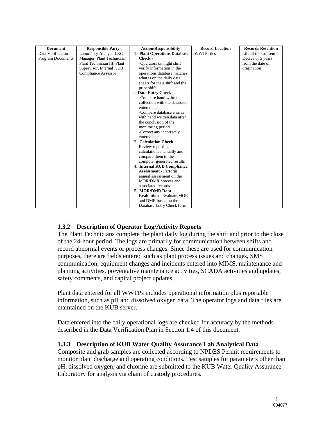| <b>Document</b>          | <b>Responsible Party</b>    | <b>Action/Responsibility</b>     | <b>Record Location</b> | <b>Records Retention</b> |
|--------------------------|-----------------------------|----------------------------------|------------------------|--------------------------|
| Data Verification        | Laboratory Analyst, LRC     | <b>Plant Operations Database</b> | <b>WWTP</b> files      | Life of the Consent      |
| <b>Program Documents</b> | Manager, Plant Technician,  | Check -                          |                        | Decree or 5 years        |
|                          | Plant Technician III, Plant | -Operators on night shift        |                        | from the date of         |
|                          | Supervisor, Internal KUB    | verify information in the        |                        | origination              |
|                          | Compliance Assessor         | operations database matches      |                        |                          |
|                          |                             | what is on the daily data        |                        |                          |
|                          |                             | sheets for their shift and the   |                        |                          |
|                          |                             | prior shift.                     |                        |                          |
|                          |                             | 2. Data Entry Check -            |                        |                          |
|                          |                             | -Compare hand written data       |                        |                          |
|                          |                             | collection with the database     |                        |                          |
|                          |                             | entered data                     |                        |                          |
|                          |                             | -Compare database entries        |                        |                          |
|                          |                             | with hand written data after     |                        |                          |
|                          |                             | the conclusion of the            |                        |                          |
|                          |                             | monitoring period                |                        |                          |
|                          |                             | -Correct any incorrectly         |                        |                          |
|                          |                             | entered data.                    |                        |                          |
|                          |                             | 3. Calculation Check -           |                        |                          |
|                          |                             | Review reporting                 |                        |                          |
|                          |                             | calculations manually and        |                        |                          |
|                          |                             | compare them to the              |                        |                          |
|                          |                             | computer generated results       |                        |                          |
|                          |                             | 4. Internal KUB Compliance       |                        |                          |
|                          |                             | <b>Assessment</b> - Perform      |                        |                          |
|                          |                             | annual assessment on the         |                        |                          |
|                          |                             | MOR/DMR process and              |                        |                          |
|                          |                             | associated records               |                        |                          |
|                          |                             | 5. MOR/DMR Data                  |                        |                          |
|                          |                             | <b>Evaluation - Evaluate MOR</b> |                        |                          |
|                          |                             | and DMR based on the             |                        |                          |
|                          |                             | Database Entry Check form        |                        |                          |

#### **1.3.2 Description of Operator Log/Activity Reports**

The Plant Technicians complete the plant daily log during the shift and prior to the close of the 24-hour period. The logs are primarily for communication between shifts and record abnormal events or process changes. Since these are used for communication purposes, there are fields entered such as plant process issues and changes, SMS communication, equipment changes and incidents entered into MIMS, maintenance and planning activities, preventative maintenance activities, SCADA activities and updates, safety comments, and capital project updates.

Plant data entered for all WWTPs includes operational information plus reportable information, such as pH and dissolved oxygen data. The operator logs and data files are maintained on the KUB server.

Data entered into the daily operational logs are checked for accuracy by the methods described in the Data Verification Plan in Section 1.4 of this document.

#### **1.3.3 Description of KUB Water Quality Assurance Lab Analytical Data**

Composite and grab samples are collected according to NPDES Permit requirements to monitor plant discharge and operating conditions. Test samples for parameters other than pH, dissolved oxygen, and chlorine are submitted to the KUB Water Quality Assurance Laboratory for analysis via chain of custody procedures.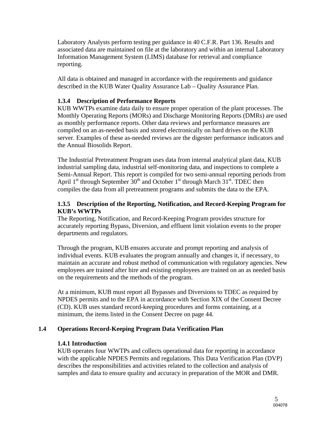Laboratory Analysts perform testing per guidance in 40 C.F.R. Part 136. Results and associated data are maintained on file at the laboratory and within an internal Laboratory Information Management System (LIMS) database for retrieval and compliance reporting.

All data is obtained and managed in accordance with the requirements and guidance described in the KUB Water Quality Assurance Lab – Quality Assurance Plan.

#### **1.3.4 Description of Performance Reports**

KUB WWTPs examine data daily to ensure proper operation of the plant processes. The Monthly Operating Reports (MORs) and Discharge Monitoring Reports (DMRs) are used as monthly performance reports. Other data reviews and performance measures are compiled on an as-needed basis and stored electronically on hard drives on the KUB server. Examples of these as-needed reviews are the digester performance indicators and the Annual Biosolids Report.

The Industrial Pretreatment Program uses data from internal analytical plant data, KUB industrial sampling data, industrial self-monitoring data, and inspections to complete a Semi-Annual Report. This report is compiled for two semi-annual reporting periods from April  $1<sup>st</sup>$  through September  $30<sup>th</sup>$  and October  $1<sup>st</sup>$  through March  $31<sup>st</sup>$ . TDEC then compiles the data from all pretreatment programs and submits the data to the EPA.

#### **1.3.5 Description of the Reporting, Notification, and Record-Keeping Program for KUB's WWTPs**

The Reporting, Notification, and Record-Keeping Program provides structure for accurately reporting Bypass, Diversion, and effluent limit violation events to the proper departments and regulators.

Through the program, KUB ensures accurate and prompt reporting and analysis of individual events. KUB evaluates the program annually and changes it, if necessary, to maintain an accurate and robust method of communication with regulatory agencies. New employees are trained after hire and existing employees are trained on an as needed basis on the requirements and the methods of the program.

At a minimum, KUB must report all Bypasses and Diversions to TDEC as required by NPDES permits and to the EPA in accordance with Section XIX of the Consent Decree (CD). KUB uses standard record-keeping procedures and forms containing, at a minimum, the items listed in the Consent Decree on page 44.

#### **1.4 Operations Record-Keeping Program Data Verification Plan**

#### **1.4.1 Introduction**

KUB operates four WWTPs and collects operational data for reporting in accordance with the applicable NPDES Permits and regulations. This Data Verification Plan (DVP) describes the responsibilities and activities related to the collection and analysis of samples and data to ensure quality and accuracy in preparation of the MOR and DMR.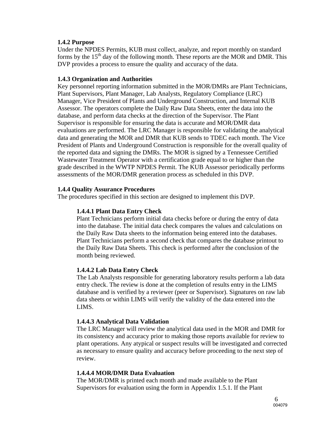#### **1.4.2 Purpose**

Under the NPDES Permits, KUB must collect, analyze, and report monthly on standard forms by the  $15<sup>th</sup>$  day of the following month. These reports are the MOR and DMR. This DVP provides a process to ensure the quality and accuracy of the data.

#### **1.4.3 Organization and Authorities**

Key personnel reporting information submitted in the MOR/DMRs are Plant Technicians, Plant Supervisors, Plant Manager, Lab Analysts, Regulatory Compliance (LRC) Manager, Vice President of Plants and Underground Construction, and Internal KUB Assessor. The operators complete the Daily Raw Data Sheets, enter the data into the database, and perform data checks at the direction of the Supervisor. The Plant Supervisor is responsible for ensuring the data is accurate and MOR/DMR data evaluations are performed. The LRC Manager is responsible for validating the analytical data and generating the MOR and DMR that KUB sends to TDEC each month. The Vice President of Plants and Underground Construction is responsible for the overall quality of the reported data and signing the DMRs. The MOR is signed by a Tennessee Certified Wastewater Treatment Operator with a certification grade equal to or higher than the grade described in the WWTP NPDES Permit. The KUB Assessor periodically performs assessments of the MOR/DMR generation process as scheduled in this DVP.

#### **1.4.4 Quality Assurance Procedures**

The procedures specified in this section are designed to implement this DVP.

#### **1.4.4.1 Plant Data Entry Check**

Plant Technicians perform initial data checks before or during the entry of data into the database. The initial data check compares the values and calculations on the Daily Raw Data sheets to the information being entered into the databases. Plant Technicians perform a second check that compares the database printout to the Daily Raw Data Sheets. This check is performed after the conclusion of the month being reviewed.

#### **1.4.4.2 Lab Data Entry Check**

The Lab Analysts responsible for generating laboratory results perform a lab data entry check. The review is done at the completion of results entry in the LIMS database and is verified by a reviewer (peer or Supervisor). Signatures on raw lab data sheets or within LIMS will verify the validity of the data entered into the LIMS.

#### **1.4.4.3 Analytical Data Validation**

The LRC Manager will review the analytical data used in the MOR and DMR for its consistency and accuracy prior to making those reports available for review to plant operations. Any atypical or suspect results will be investigated and corrected as necessary to ensure quality and accuracy before proceeding to the next step of review.

#### **1.4.4.4 MOR/DMR Data Evaluation**

The MOR/DMR is printed each month and made available to the Plant Supervisors for evaluation using the form in Appendix 1.5.1. If the Plant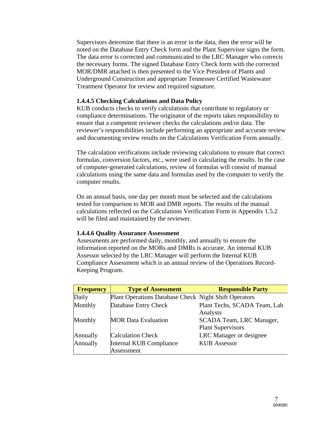Supervisors determine that there is an error in the data, then the error will be noted on the Database Entry Check form and the Plant Supervisor signs the form. The data error is corrected and communicated to the LRC Manager who corrects the necessary forms. The signed Database Entry Check form with the corrected MOR/DMR attached is then presented to the Vice President of Plants and Underground Construction and appropriate Tennessee Certified Wastewater Treatment Operator for review and required signature.

#### **1.4.4.5 Checking Calculations and Data Policy**

KUB conducts checks to verify calculations that contribute to regulatory or compliance determinations. The originator of the reports takes responsibility to ensure that a competent reviewer checks the calculations and/or data. The reviewer's responsibilities include performing an appropriate and accurate review and documenting review results on the Calculations Verification Form annually.

The calculation verifications include reviewing calculations to ensure that correct formulas, conversion factors, etc., were used in calculating the results. In the case of computer-generated calculations, review of formulas will consist of manual calculations using the same data and formulas used by the computer to verify the computer results.

On an annual basis, one day per month must be selected and the calculations tested for comparison to MOR and DMR reports. The results of the manual calculations reflected on the Calculations Verification Form in Appendix 1.5.2 will be filed and maintained by the reviewer.

#### **1.4.4.6 Quality Assurance Assessment**

Assessments are performed daily, monthly, and annually to ensure the information reported on the MORs and DMRs is accurate. An internal KUB Assessor selected by the LRC Manager will perform the Internal KUB Compliance Assessment which is an annual review of the Operations Record-Keeping Program.

| <b>Frequency</b> | <b>Type of Assessment</b>                             | <b>Responsible Party</b>     |
|------------------|-------------------------------------------------------|------------------------------|
| Daily            | Plant Operations Database Check Night Shift Operators |                              |
| Monthly          | Database Entry Check                                  | Plant Techs, SCADA Team, Lab |
|                  |                                                       | Analysts                     |
| Monthly          | <b>MOR Data Evaluation</b>                            | SCADA Team, LRC Manager,     |
|                  |                                                       | <b>Plant Supervisors</b>     |
| Annually         | <b>Calculation Check</b>                              | LRC Manager or designee      |
| Annually         | Internal KUB Compliance                               | <b>KUB</b> Assessor          |
|                  | Assessment                                            |                              |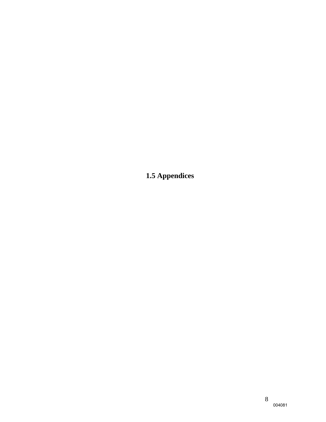**1.5 Appendices**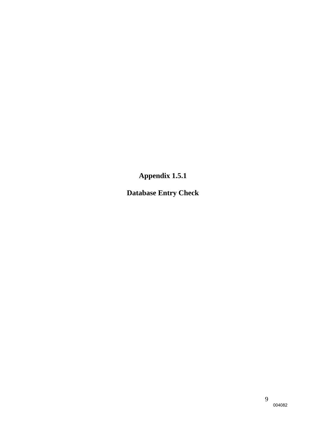**Database Entry Check**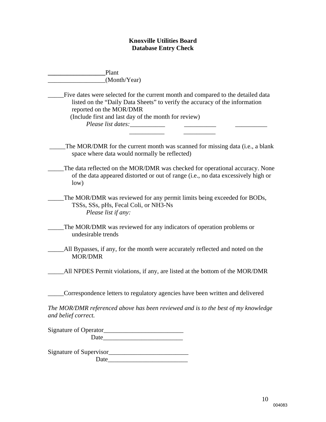#### **Knoxville Utilities Board Database Entry Check**

| Plant        |
|--------------|
| (Month/Year) |

| Five dates were selected for the current month and compared to the detailed data |
|----------------------------------------------------------------------------------|
| listed on the "Daily Data Sheets" to verify the accuracy of the information      |
| reported on the MOR/DMR                                                          |
| (Include first and last day of the month for review)                             |
| <i>Please list dates:</i>                                                        |
|                                                                                  |

- \_\_\_\_\_The MOR/DMR for the current month was scanned for missing data (i.e., a blank space where data would normally be reflected)
- \_\_\_\_\_The data reflected on the MOR/DMR was checked for operational accuracy. None of the data appeared distorted or out of range (i.e., no data excessively high or low)

\_\_\_\_\_The MOR/DMR was reviewed for any permit limits being exceeded for BODs, TSSs, SSs, pHs, Fecal Coli, or NH3-Ns *Please list if any:* 

\_\_\_\_\_The MOR/DMR was reviewed for any indicators of operation problems or undesirable trends

*\_\_\_\_\_*All Bypasses, if any, for the month were accurately reflected and noted on the MOR/DMR

\_\_\_\_\_All NPDES Permit violations, if any, are listed at the bottom of the MOR/DMR

\_\_\_\_\_Correspondence letters to regulatory agencies have been written and delivered

*The MOR/DMR referenced above has been reviewed and is to the best of my knowledge and belief correct.* 

| Signature of Operator |  |
|-----------------------|--|
| Date                  |  |

Signature of Supervisor\_\_\_\_\_\_\_\_\_\_\_\_\_\_\_\_\_\_\_\_\_\_\_\_\_ Date and the set of  $\alpha$  and  $\alpha$  and  $\alpha$  and  $\alpha$  and  $\alpha$  and  $\alpha$  and  $\alpha$  and  $\alpha$  and  $\alpha$  and  $\alpha$  and  $\alpha$  and  $\alpha$  and  $\alpha$  and  $\alpha$  and  $\alpha$  and  $\alpha$  and  $\alpha$  and  $\alpha$  and  $\alpha$  and  $\alpha$  and  $\alpha$  and  $\alpha$  and  $\alpha$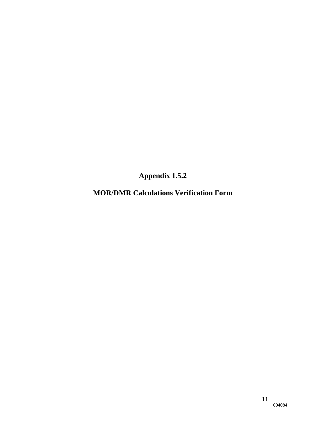**MOR/DMR Calculations Verification Form**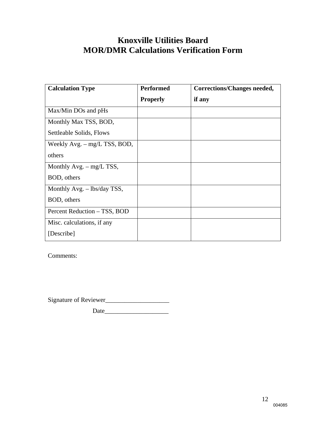## **Knoxville Utilities Board MOR/DMR Calculations Verification Form**

| <b>Calculation Type</b>         | <b>Performed</b> | <b>Corrections/Changes needed,</b> |
|---------------------------------|------------------|------------------------------------|
|                                 | <b>Properly</b>  | if any                             |
| Max/Min DOs and pHs             |                  |                                    |
| Monthly Max TSS, BOD,           |                  |                                    |
| Settleable Solids, Flows        |                  |                                    |
| Weekly $Avg. - mg/L TSS$ , BOD, |                  |                                    |
| others                          |                  |                                    |
| Monthly $Avg. - mg/L TSS$ ,     |                  |                                    |
| BOD, others                     |                  |                                    |
| Monthly $Avg. - lbs/day TSS$ ,  |                  |                                    |
| BOD, others                     |                  |                                    |
| Percent Reduction – TSS, BOD    |                  |                                    |
| Misc. calculations, if any      |                  |                                    |
| [Describe]                      |                  |                                    |

Comments:

Signature of Reviewer\_\_\_\_\_\_\_\_\_\_\_\_\_\_\_\_\_\_\_\_

Date\_\_\_\_\_\_\_\_\_\_\_\_\_\_\_\_\_\_\_\_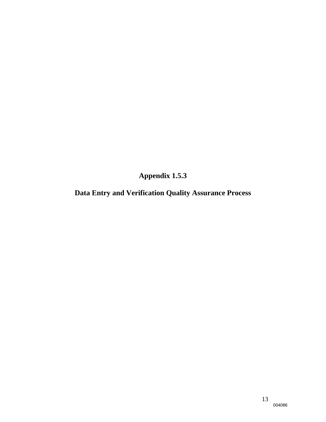**Data Entry and Verification Quality Assurance Process**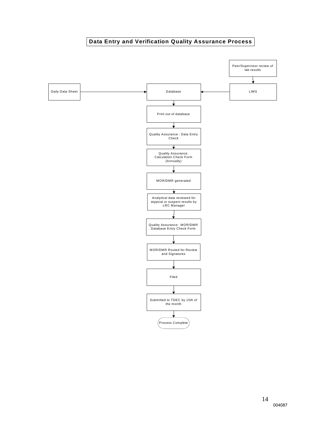#### **Data Entry and Verification Quality Assurance Process**

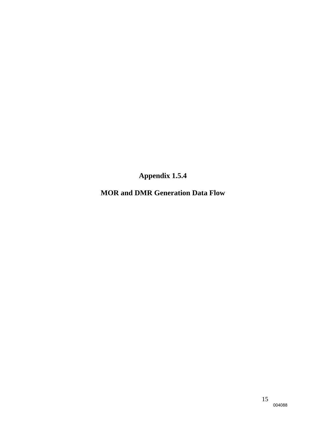**MOR and DMR Generation Data Flow**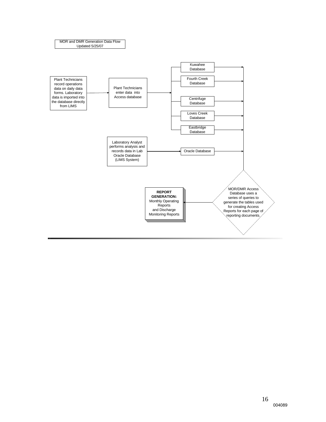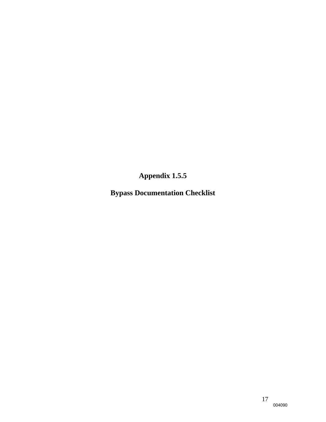**Bypass Documentation Checklist**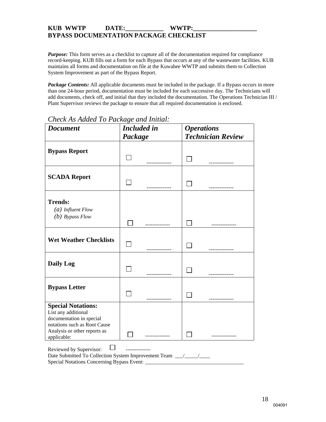#### KUB WWTP DATE: WWTP: **BYPASS DOCUMENTATION PACKAGE CHECKLIST**

*Purpose:* This form serves as a checklist to capture all of the documentation required for compliance record-keeping. KUB fills out a form for each Bypass that occurs at any of the wastewater facilities. KUB maintains all forms and documentation on file at the Kuwahee WWTP and submits them to Collection System Improvement as part of the Bypass Report.

*Package Contents:* All applicable documents must be included in the package. If a Bypass occurs in more than one 24-hour period, documentation must be included for each successive day. The Technicians will add documents, check off, and initial that they included the documentation. The Operations Technician III / Plant Supervisor reviews the package to ensure that all required documentation is enclosed.

| <b>Document</b>                                                                                                                                             | Package | <b>Included</b> in |               | <b>Operations</b><br><b>Technician Review</b> |
|-------------------------------------------------------------------------------------------------------------------------------------------------------------|---------|--------------------|---------------|-----------------------------------------------|
| <b>Bypass Report</b>                                                                                                                                        |         |                    |               |                                               |
| <b>SCADA Report</b>                                                                                                                                         |         | -----------        |               | --------------                                |
| <b>Trends:</b><br>(a) Influent Flow<br>$(b)$ Bypass Flow                                                                                                    |         | ------------       |               | ------------                                  |
| <b>Wet Weather Checklists</b>                                                                                                                               |         |                    |               |                                               |
| <b>Daily Log</b>                                                                                                                                            |         |                    |               |                                               |
| <b>Bypass Letter</b>                                                                                                                                        |         |                    |               | ----------                                    |
| <b>Special Notations:</b><br>List any additional<br>documentation in special<br>notations such as Root Cause<br>Analysis or other reports as<br>applicable: |         |                    |               |                                               |
| Reviewed by Supervisor:<br>Date Submitted To Collection System Improvement Team                                                                             |         |                    | $\frac{1}{2}$ |                                               |

*Check As Added To Package and Initial:*

Special Notations Concerning Bypass Event: \_\_\_\_\_\_\_\_\_\_\_\_\_\_\_\_\_\_\_\_\_\_\_\_\_\_\_\_\_\_\_\_\_\_\_\_\_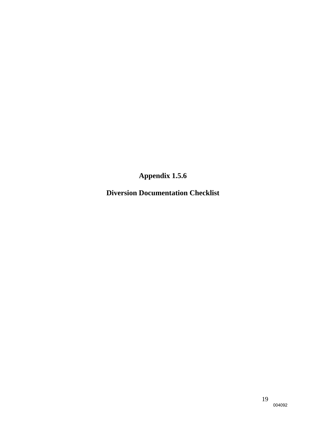**Diversion Documentation Checklist**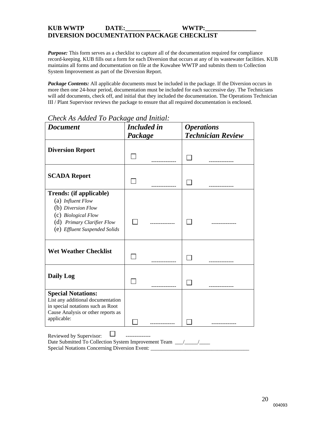#### KUB WWTP DATE: WWTP: **DIVERSION DOCUMENTATION PACKAGE CHECKLIST**

*Purpose:* This form serves as a checklist to capture all of the documentation required for compliance record-keeping. KUB fills out a form for each Diversion that occurs at any of its wastewater facilities. KUB maintains all forms and documentation on file at the Kuwahee WWTP and submits them to Collection System Improvement as part of the Diversion Report.

*Package Contents:* All applicable documents must be included in the package. If the Diversion occurs in more then one 24-hour period, documentation must be included for each successive day. The Technicians will add documents, check off, and initial that they included the documentation. The Operations Technician III / Plant Supervisor reviews the package to ensure that all required documentation is enclosed.

|  |                               | <b>Operations</b><br><b>Technician Review</b> |
|--|-------------------------------|-----------------------------------------------|
|  |                               |                                               |
|  |                               | -----------                                   |
|  |                               |                                               |
|  |                               |                                               |
|  |                               |                                               |
|  |                               |                                               |
|  | <b>Included</b> in<br>Package |                                               |

*Check As Added To Package and Initial:*

Date Submitted To Collection System Improvement Team \_\_\_/\_\_\_\_\_/\_\_\_\_ Special Notations Concerning Diversion Event: \_\_\_\_\_\_\_\_\_\_\_\_\_\_\_\_\_\_\_\_\_\_\_\_\_\_\_\_\_\_\_\_\_\_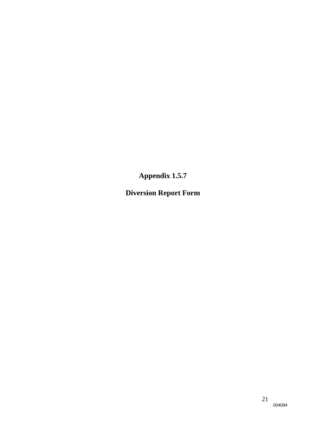**Diversion Report Form**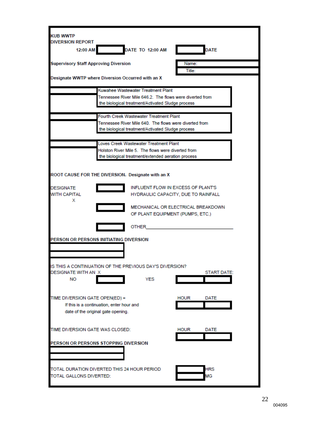| <b>KUB WWTP</b><br><b>DIVERSION REPORT</b><br>12:00 AM                                                            | <b>DATE TO 12:00 AM</b><br><b>DATE</b>                                                                                                                 |
|-------------------------------------------------------------------------------------------------------------------|--------------------------------------------------------------------------------------------------------------------------------------------------------|
| <b>Supervisory Staff Approving Diversion</b>                                                                      | Name:                                                                                                                                                  |
| Designate WWTP where Diversion Occurred with an X                                                                 | Title:                                                                                                                                                 |
|                                                                                                                   |                                                                                                                                                        |
|                                                                                                                   | Kuwahee Wastewater Treatment Plant<br>Tennessee River Mile 646.2. The flows were diverted from<br>the biological treatment/Activated Sludge process    |
|                                                                                                                   | Fourth Creek Wastewater Treatment Plant<br>Tennessee River Mile 640. The flows were diverted from<br>the biological treatment/Activated Sludge process |
|                                                                                                                   | Loves Creek Wastewater Treatment Plant<br>Holston River Mile 5. The flows were diverted from<br>the biological treatment/extended aeration process     |
| ROOT CAUSE FOR THE DIVERSION. Designate with an X                                                                 |                                                                                                                                                        |
| <b>DESIGNATE</b><br><b>WITH CAPITAL</b><br>х                                                                      | <b>INFLUENT FLOW IN EXCESS OF PLANT'S</b><br>HYDRAULIC CAPACITY, DUE TO RAINFALL                                                                       |
|                                                                                                                   | MECHANICAL OR ELECTRICAL BREAKDOWN<br>OF PLANT EQUIPMENT (PUMPS, ETC.)                                                                                 |
|                                                                                                                   | <b>OTHER</b>                                                                                                                                           |
| PERSON OR PERSONS INITIATING DIVERSION                                                                            |                                                                                                                                                        |
| DESIGNATE WITH AN X<br><b>NO</b>                                                                                  | IS THIS A CONTINUATION OF THE PREVIOUS DAY'S DIVERSION?<br><b>START DATE:</b><br><b>YES</b>                                                            |
| TIME DIVERSION GATE OPEN(ED) =<br>If this is a continuation, enter hour and<br>date of the original gate opening. | HOUR<br>DATE                                                                                                                                           |
| TIME DIVERSION GATE WAS CLOSED:<br>PERSON OR PERSONS STOPPING DIVERSION                                           | <b>HOUR</b><br>DATE                                                                                                                                    |
| TOTAL DURATION DIVERTED THIS 24 HOUR PERIOD<br>TOTAL GALLONS DIVERTED:                                            | <b>HRS</b><br>МG                                                                                                                                       |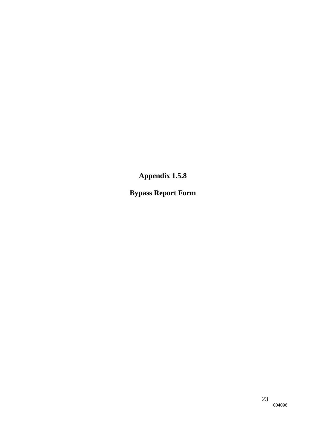**Bypass Report Form**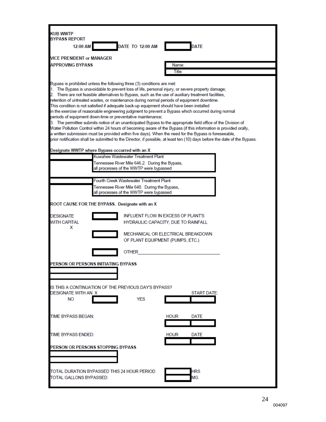| KUB WWTP<br><b>BYPASS REPORT</b> |                                                                                                                                                                                                                                                                                                                                                                                                                                                                                                                                                                                                                                                                                                                                                                                                                                                                                                                                                                                                                                                                                                                                 |
|----------------------------------|---------------------------------------------------------------------------------------------------------------------------------------------------------------------------------------------------------------------------------------------------------------------------------------------------------------------------------------------------------------------------------------------------------------------------------------------------------------------------------------------------------------------------------------------------------------------------------------------------------------------------------------------------------------------------------------------------------------------------------------------------------------------------------------------------------------------------------------------------------------------------------------------------------------------------------------------------------------------------------------------------------------------------------------------------------------------------------------------------------------------------------|
| 12:00 AM                         | <b>DATE TO 12:00 AM</b><br><b>DATE</b>                                                                                                                                                                                                                                                                                                                                                                                                                                                                                                                                                                                                                                                                                                                                                                                                                                                                                                                                                                                                                                                                                          |
| <b>VICE PRESIDENT or MANAGER</b> |                                                                                                                                                                                                                                                                                                                                                                                                                                                                                                                                                                                                                                                                                                                                                                                                                                                                                                                                                                                                                                                                                                                                 |
| <b>APPROVING BYPASS</b>          | Name:                                                                                                                                                                                                                                                                                                                                                                                                                                                                                                                                                                                                                                                                                                                                                                                                                                                                                                                                                                                                                                                                                                                           |
|                                  | <b>Title:</b>                                                                                                                                                                                                                                                                                                                                                                                                                                                                                                                                                                                                                                                                                                                                                                                                                                                                                                                                                                                                                                                                                                                   |
|                                  | Bypass is prohibited unless the following three (3) conditions are met:<br>1. The Bypass is unavoidable to prevent loss of life, personal injury, or severe property damage;<br>2. There are not feasible alternatives to Bypass, such as the use of auxiliary treatment facilities,<br>retention of untreated wastes, or maintenance during normal periods of equipment downtime.<br>This condition is not satisfied if adequate back-up equipment should have been installed<br>in the exercise of reasonable engineering judgment to prevent a Bypass which occurred during normal<br>periods of equipment down-time or preventative maintenance;<br>3. The permittee submits notice of an unanticipated Bypass to the appropriate field office of the Division of<br>Water Pollution Control within 24 hours of becoming aware of the Bypass (if this information is provided orally,<br>a written submission must be provided within five days). When the need for the Bypass is foreseeable,<br>prior notification shall be submitted to the Director, if possible, at least ten (10) days before the date of the Bypass. |
|                                  | Designate WWTP where Bypass occurred with an X                                                                                                                                                                                                                                                                                                                                                                                                                                                                                                                                                                                                                                                                                                                                                                                                                                                                                                                                                                                                                                                                                  |
|                                  | Kuwahee Wastewater Treatment Plant                                                                                                                                                                                                                                                                                                                                                                                                                                                                                                                                                                                                                                                                                                                                                                                                                                                                                                                                                                                                                                                                                              |
|                                  | Tennessee River Mile 646.2. During the Bypass,<br>all processes of the WWTP were bypassed                                                                                                                                                                                                                                                                                                                                                                                                                                                                                                                                                                                                                                                                                                                                                                                                                                                                                                                                                                                                                                       |
|                                  |                                                                                                                                                                                                                                                                                                                                                                                                                                                                                                                                                                                                                                                                                                                                                                                                                                                                                                                                                                                                                                                                                                                                 |
|                                  | Fourth Creek Wastewater Treatment Plant                                                                                                                                                                                                                                                                                                                                                                                                                                                                                                                                                                                                                                                                                                                                                                                                                                                                                                                                                                                                                                                                                         |
|                                  | Tennessee River Mile 640. During the Bypass,<br>all processes of the WWTP were bypassed                                                                                                                                                                                                                                                                                                                                                                                                                                                                                                                                                                                                                                                                                                                                                                                                                                                                                                                                                                                                                                         |
|                                  | ROOT CAUSE FOR THE BYPASS. Designate with an X                                                                                                                                                                                                                                                                                                                                                                                                                                                                                                                                                                                                                                                                                                                                                                                                                                                                                                                                                                                                                                                                                  |
| <b>DESIGNATE</b>                 | INFLUENT FLOW IN EXCESS OF PLANT'S                                                                                                                                                                                                                                                                                                                                                                                                                                                                                                                                                                                                                                                                                                                                                                                                                                                                                                                                                                                                                                                                                              |
| <b>WITH CAPITAL</b>              | HYDRAULIC CAPACITY, DUE TO RAINFALL                                                                                                                                                                                                                                                                                                                                                                                                                                                                                                                                                                                                                                                                                                                                                                                                                                                                                                                                                                                                                                                                                             |
| x                                | MECHANICAL OR ELECTRICAL BREAKDOWN<br>OF PLANT EQUIPMENT (PUMPS, ETC.)                                                                                                                                                                                                                                                                                                                                                                                                                                                                                                                                                                                                                                                                                                                                                                                                                                                                                                                                                                                                                                                          |
|                                  | <b>OTHER</b>                                                                                                                                                                                                                                                                                                                                                                                                                                                                                                                                                                                                                                                                                                                                                                                                                                                                                                                                                                                                                                                                                                                    |
|                                  | PERSON OR PERSONS INITIATING BYPASS                                                                                                                                                                                                                                                                                                                                                                                                                                                                                                                                                                                                                                                                                                                                                                                                                                                                                                                                                                                                                                                                                             |
|                                  |                                                                                                                                                                                                                                                                                                                                                                                                                                                                                                                                                                                                                                                                                                                                                                                                                                                                                                                                                                                                                                                                                                                                 |
| DESIGNATE WITH AN X<br>NO.       | IS THIS A CONTINUATION OF THE PREVIOUS DAY'S BYPASS?<br><b>START DATE:</b><br>YES                                                                                                                                                                                                                                                                                                                                                                                                                                                                                                                                                                                                                                                                                                                                                                                                                                                                                                                                                                                                                                               |
| TIME BYPASS BEGAN:               | <b>HOUR</b><br>DATE                                                                                                                                                                                                                                                                                                                                                                                                                                                                                                                                                                                                                                                                                                                                                                                                                                                                                                                                                                                                                                                                                                             |
| TIME BYPASS ENDED:               | <b>HOUR</b><br>DATE                                                                                                                                                                                                                                                                                                                                                                                                                                                                                                                                                                                                                                                                                                                                                                                                                                                                                                                                                                                                                                                                                                             |
|                                  | PERSON OR PERSONS STOPPING BYPASS                                                                                                                                                                                                                                                                                                                                                                                                                                                                                                                                                                                                                                                                                                                                                                                                                                                                                                                                                                                                                                                                                               |
| TOTAL GALLONS BYPASSED:          | TOTAL DURATION BYPASSED THIS 24 HOUR PERIOD<br>HRS<br>ΜG                                                                                                                                                                                                                                                                                                                                                                                                                                                                                                                                                                                                                                                                                                                                                                                                                                                                                                                                                                                                                                                                        |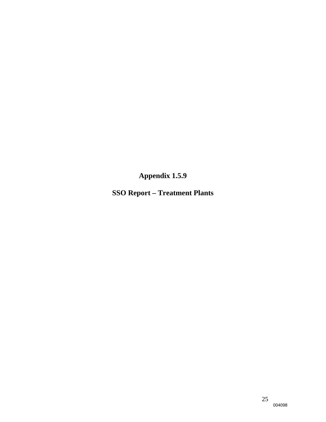**SSO Report – Treatment Plants**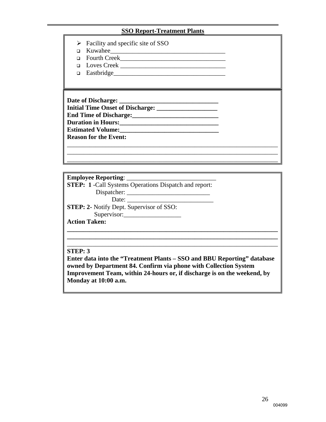#### **SSO Report-Treatment Plants**

- $\triangleright$  Facility and specific site of SSO
- Kuwahee\_\_\_\_\_\_\_\_\_\_\_\_\_\_\_\_\_\_\_\_\_\_\_\_\_\_\_\_\_\_\_\_\_\_\_\_
- Fourth Creek\_\_\_\_\_\_\_\_\_\_\_\_\_\_\_\_\_\_\_\_\_\_\_\_\_\_\_\_\_\_\_\_\_
- $\Box$  Loves Creek
- $\Box$  Eastbridge

Date of Discharge: **Initial Time Onset of Discharge: \_\_\_\_\_\_\_\_\_\_\_\_\_\_\_\_\_\_\_ End Time of Discharge:\_\_\_\_\_\_\_\_\_\_\_\_\_\_\_\_\_\_\_\_\_\_\_\_\_\_\_ Duration in Hours:\_\_\_\_\_\_\_\_\_\_\_\_\_\_\_\_\_\_\_\_\_\_\_\_\_\_\_\_\_\_\_ Estimated Volume: Reason for the Event:**  \_\_\_\_\_\_\_\_\_\_\_\_\_\_\_\_\_\_\_\_\_\_\_\_\_\_\_\_\_\_\_\_\_\_\_\_\_\_\_\_\_\_\_\_\_\_\_\_\_\_\_\_\_\_\_\_\_\_\_\_\_\_\_\_\_\_

| <b>STEP:</b> 1 -Call Systems Operations Dispatch and report:                       |  |
|------------------------------------------------------------------------------------|--|
|                                                                                    |  |
| Date:                                                                              |  |
| <b>STEP: 2-</b> Notify Dept. Supervisor of SSO:                                    |  |
| Supervisor:                                                                        |  |
| <b>Action Taken:</b>                                                               |  |
|                                                                                    |  |
| STEP: 3<br>Enter data into the "Treatment Plants – SSO and BBU Reporting" database |  |

\_\_\_\_\_\_\_\_\_\_\_\_\_\_\_\_\_\_\_\_\_\_\_\_\_\_\_\_\_\_\_\_\_\_\_\_\_\_\_\_\_\_\_\_\_\_\_\_\_\_\_\_\_\_\_\_\_\_\_\_\_\_\_\_\_\_ \_\_\_\_\_\_\_\_\_\_\_\_\_\_\_\_\_\_\_\_\_\_\_\_\_\_\_\_\_\_\_\_\_\_\_\_\_\_\_\_\_\_\_\_\_\_\_\_\_\_\_\_\_\_\_\_\_\_\_\_\_\_\_\_\_\_

**owned by Department 84. Confirm via phone with Collection System Improvement Team, within 24-hours or, if discharge is on the weekend, by Monday at 10:00 a.m.**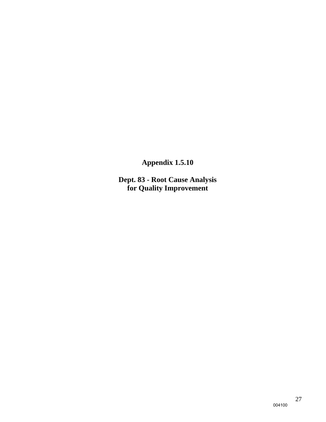**Dept. 83 - Root Cause Analysis for Quality Improvement**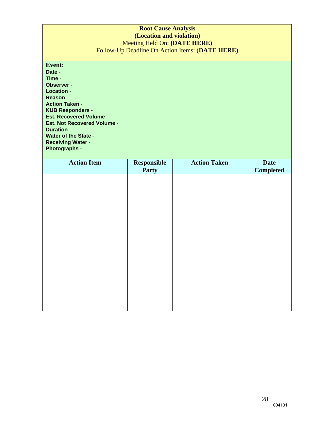#### **Root Cause Analysis (Location and violation)**  Meeting Held On: **(DATE HERE)**  Follow-Up Deadline On Action Items: (**DATE HERE)**

#### **Event**:

**Date** - **Time** - **Observer** - **Location** - **Reason** - **Action Taken** - **KUB Responders** - **Est. Recovered Volume** - **Est. Not Recovered Volume** - **Duration** - **Water of the State** - **Receiving Water** - **Photographs** -

| <b>Action Item</b> | <b>Responsible</b><br>Party | <b>Action Taken</b> | <b>Date</b><br><b>Completed</b> |
|--------------------|-----------------------------|---------------------|---------------------------------|
|                    |                             |                     |                                 |
|                    |                             |                     |                                 |
|                    |                             |                     |                                 |
|                    |                             |                     |                                 |
|                    |                             |                     |                                 |
|                    |                             |                     |                                 |
|                    |                             |                     |                                 |
|                    |                             |                     |                                 |
|                    |                             |                     |                                 |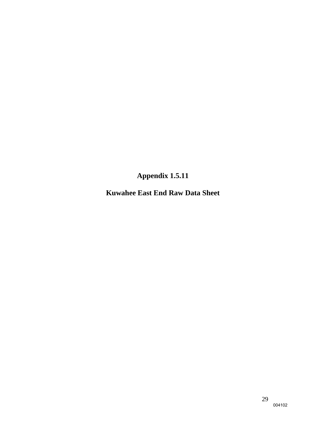**Kuwahee East End Raw Data Sheet**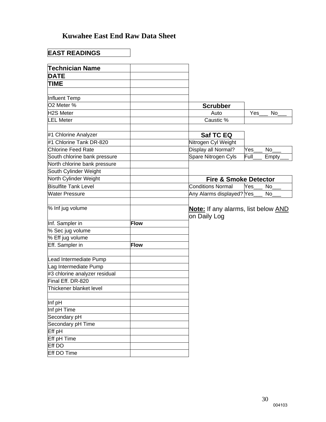## **Kuwahee East End Raw Data Sheet**

## **EAST READINGS**

| <b>Technician Name</b>        |             |                                                                   |      |           |
|-------------------------------|-------------|-------------------------------------------------------------------|------|-----------|
| <b>DATE</b>                   |             |                                                                   |      |           |
| <b>TIME</b>                   |             |                                                                   |      |           |
| Influent Temp                 |             |                                                                   |      |           |
| O <sub>2</sub> Meter %        |             |                                                                   |      |           |
|                               |             | <b>Scrubber</b>                                                   |      |           |
| <b>H2S Meter</b>              |             | Auto                                                              | Yes  | No        |
| <b>LEL Meter</b>              |             | Caustic %                                                         |      |           |
| #1 Chlorine Analyzer          |             | Saf TC EQ                                                         |      |           |
| #1 Chlorine Tank DR-820       |             | Nitrogen Cyl Weight                                               |      |           |
| <b>Chlorine Feed Rate</b>     |             | Display all Normal?                                               | Yes  | <b>No</b> |
| South chlorine bank pressure  |             | Spare Nitrogen Cyls                                               | Full | Empty_    |
| North chlorine bank pressure  |             |                                                                   |      |           |
| South Cylinder Weight         |             |                                                                   |      |           |
| North Cylinder Weight         |             | <b>Fire &amp; Smoke Detector</b>                                  |      |           |
| <b>Bisulfite Tank Level</b>   |             | <b>Conditions Normal</b>                                          | Yes  | <b>No</b> |
| <b>Water Pressure</b>         |             | Any Alarms displayed? Yes                                         |      | No        |
|                               |             |                                                                   |      |           |
| % Inf jug volume              |             | <b>Note:</b> If any alarms, list below <b>AND</b><br>on Daily Log |      |           |
| Inf. Sampler in               | <b>Flow</b> |                                                                   |      |           |
| % Sec jug volume              |             |                                                                   |      |           |
| % Eff jug volume              |             |                                                                   |      |           |
| Eff. Sampler in               | <b>Flow</b> |                                                                   |      |           |
| Lead Intermediate Pump        |             |                                                                   |      |           |
| Lag Intermediate Pump         |             |                                                                   |      |           |
| #3 chlorine analyzer residual |             |                                                                   |      |           |
| Final Eff. DR-820             |             |                                                                   |      |           |
| Thickener blanket level       |             |                                                                   |      |           |
|                               |             |                                                                   |      |           |
| Inf pH                        |             |                                                                   |      |           |
| Inf pH Time                   |             |                                                                   |      |           |
| Secondary pH                  |             |                                                                   |      |           |
| Secondary pH Time             |             |                                                                   |      |           |
| Eff pH                        |             |                                                                   |      |           |
| Eff pH Time                   |             |                                                                   |      |           |
| Eff DO                        |             |                                                                   |      |           |
| <b>Eff DO Time</b>            |             |                                                                   |      |           |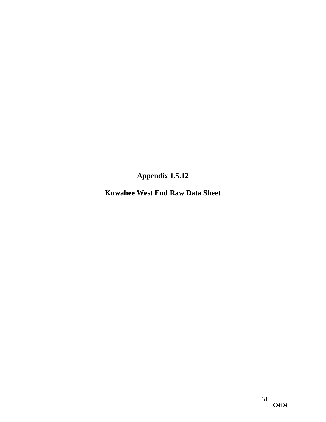**Kuwahee West End Raw Data Sheet**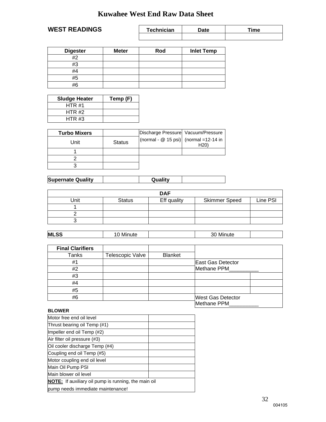## **Kuwahee West End Raw Data Sheet**

| <b>WEST READINGS</b> | Technician | Date | Time |
|----------------------|------------|------|------|
|                      |            |      |      |

| <b>Digester</b> | <b>Meter</b> | Rod | <b>Inlet Temp</b> |
|-----------------|--------------|-----|-------------------|
| #2              |              |     |                   |
| #3              |              |     |                   |
| #4              |              |     |                   |
| #5              |              |     |                   |
| #6              |              |     |                   |

| <b>Sludge Heater</b> | Temp (F) |
|----------------------|----------|
| HTR#1                |          |
| HTR $#2$             |          |
| HTR $#3$             |          |

| <b>Turbo Mixers</b> |               | Discharge Pressure Vacuum/Pressure                    |     |
|---------------------|---------------|-------------------------------------------------------|-----|
| Unit                | <b>Status</b> | $\vert$ (normal - @ 15 psi) $\vert$ (normal =12-14 in | H20 |
|                     |               |                                                       |     |
|                     |               |                                                       |     |
|                     |               |                                                       |     |

| <b>Supernate Quality</b> | Quality |  |
|--------------------------|---------|--|

| <b>DAF</b> |               |             |                      |          |  |
|------------|---------------|-------------|----------------------|----------|--|
| Jnit       | <b>Status</b> | Eff quality | <b>Skimmer Speed</b> | Line PSI |  |
|            |               |             |                      |          |  |
|            |               |             |                      |          |  |
|            |               |             |                      |          |  |

| <b>MLSS</b> | Minute | Minute<br>30 |  |
|-------------|--------|--------------|--|

| <b>Final Clarifiers</b> |                  |                |                          |
|-------------------------|------------------|----------------|--------------------------|
| Tanks                   | Telescopic Valve | <b>Blanket</b> |                          |
| #1                      |                  |                | East Gas Detector        |
| #2                      |                  |                | Methane PPM              |
| #3                      |                  |                |                          |
| #4                      |                  |                |                          |
| #5                      |                  |                |                          |
| #6                      |                  |                | <b>West Gas Detector</b> |
|                         |                  |                | Methane PPM              |

#### **BLOWER**

| Motor free end oil level                                    |  |  |  |  |
|-------------------------------------------------------------|--|--|--|--|
| Thrust bearing oil Temp (#1)                                |  |  |  |  |
| Impeller end oil Temp (#2)                                  |  |  |  |  |
| Air filter oil pressure (#3)                                |  |  |  |  |
| Oil cooler discharge Temp (#4)                              |  |  |  |  |
| Coupling end oil Temp (#5)                                  |  |  |  |  |
| Motor coupling end oil level                                |  |  |  |  |
| Main Oil Pump PSI                                           |  |  |  |  |
| Main blower oil level                                       |  |  |  |  |
| <b>NOTE:</b> If auxiliary oil pump is running, the main oil |  |  |  |  |
| pump needs immediate maintenance!                           |  |  |  |  |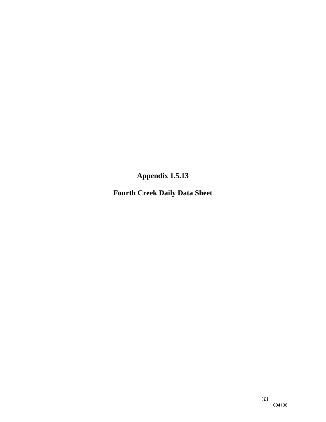**Fourth Creek Daily Data Sheet**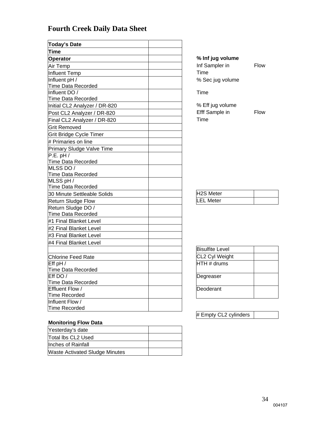## **Fourth Creek Daily Data Sheet**

| <b>Today's Date</b>           |                        |             |
|-------------------------------|------------------------|-------------|
| Time                          |                        |             |
| <b>Operator</b>               | % Inf jug volume       |             |
| Air Temp                      | Inf Sampler in         | <b>Flow</b> |
| <b>Influent Temp</b>          | Time                   |             |
| Influent pH /                 | % Sec jug volume       |             |
| <b>Time Data Recorded</b>     |                        |             |
| Influent DO /                 | Time                   |             |
| <b>Time Data Recorded</b>     |                        |             |
| Initial CL2 Analyzer / DR-820 | % Eff jug volume       |             |
| Post CL2 Analyzer / DR-820    | Efff Sample in         | <b>Flow</b> |
| Final CL2 Analyzer / DR-820   | Time                   |             |
| <b>Grit Removed</b>           |                        |             |
| Grit Bridge Cycle Timer       |                        |             |
| # Primaries on line           |                        |             |
| Primary Sludge Valve Time     |                        |             |
| P.E. pH /                     |                        |             |
| Time Data Recorded            |                        |             |
| MLSS DO /                     |                        |             |
| <b>Time Data Recorded</b>     |                        |             |
| MLSS pH /                     |                        |             |
| Time Data Recorded            |                        |             |
| 30 Minute Settleable Solids   | H2S Meter              |             |
| <b>Return Sludge Flow</b>     | <b>EL Meter</b>        |             |
| Return Sludge DO /            |                        |             |
| <b>Time Data Recorded</b>     |                        |             |
| #1 Final Blanket Level        |                        |             |
| #2 Final Blanket Level        |                        |             |
| #3 Final Blanket Level        |                        |             |
| #4 Final Blanket Level        |                        |             |
|                               | <b>Bisulfite Level</b> |             |
| <b>Chlorine Feed Rate</b>     | CL2 Cyl Weight         |             |
| Eff $pH /$                    | HTH # drums            |             |
| Time Data Recorded            |                        |             |
| Eff $DO$ /                    | Degreaser              |             |
| Time Data Recorded            |                        |             |
| <b>Effluent Flow /</b>        | Deoderant              |             |
| <b>Time Recorded</b>          |                        |             |
| Influent Flow /               |                        |             |
| Time Recorded                 |                        |             |

| % Inf jug volume<br>Inf Sampler in<br>Time<br>% Sec jug volume | Flow |
|----------------------------------------------------------------|------|
| Time                                                           |      |
| % Eff jug volume<br>Efff Sample in<br>┳                        | Flow |

| H <sub>2</sub> S Meter |  |
|------------------------|--|
| ∟EL Meter              |  |

| <b>Bisulfite Level</b> |  |
|------------------------|--|
| CL2 Cyl Weight         |  |
| HTH # drums            |  |
| Degreaser              |  |
| Deoderant              |  |

# Empty CL2 cylinders

#### **Monitoring Flow Data**

| Yesterday's date                      |  |
|---------------------------------------|--|
| Total Ibs CL2 Used                    |  |
| llnches of Rainfall                   |  |
| <b>Waste Activated Sludge Minutes</b> |  |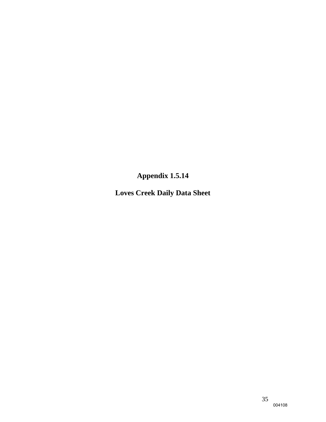**Loves Creek Daily Data Sheet**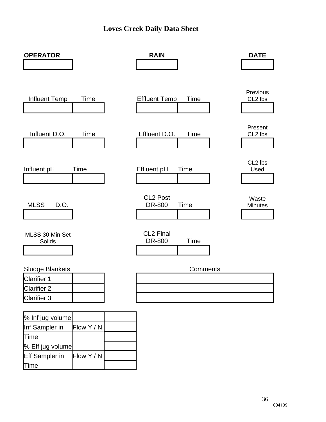## **Loves Creek Daily Data Sheet**

| <b>OPERATOR</b>           |      | <b>RAIN</b>          |             | <b>DATE</b>             |
|---------------------------|------|----------------------|-------------|-------------------------|
|                           |      |                      |             |                         |
| <b>Influent Temp</b>      | Time | <b>Effluent Temp</b> | Time        | Previous<br>CL2 lbs     |
| Influent D.O.             | Time | Effluent D.O.        | Time        | Present<br>CL2 lbs      |
| Influent pH<br>Time       |      | Effluent pH          | <b>Time</b> | CL2 lbs<br>Used         |
| <b>MLSS</b><br>D.O.       |      | CL2 Post<br>DR-800   | Time        | Waste<br><b>Minutes</b> |
| MLSS 30 Min Set<br>Solids |      | CL2 Final<br>DR-800  | Time        |                         |
| <b>Sludge Blankets</b>    |      |                      | Comments    |                         |
| <b>Clarifier 1</b>        |      |                      |             |                         |
| <b>Clarifier 2</b>        |      |                      |             |                         |
| <b>Clarifier 3</b>        |      |                      |             |                         |
| % Inf jug volume          |      |                      |             |                         |

Inf Sampler in Flow Y / N

Eff Sampler in Flow Y / N

Time

Time

% Eff jug volume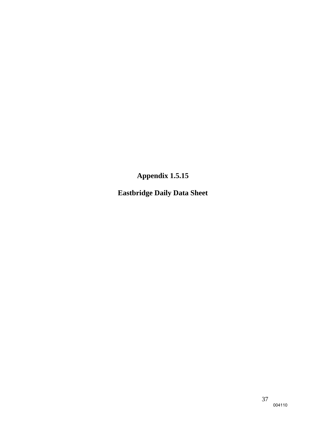**Eastbridge Daily Data Sheet**